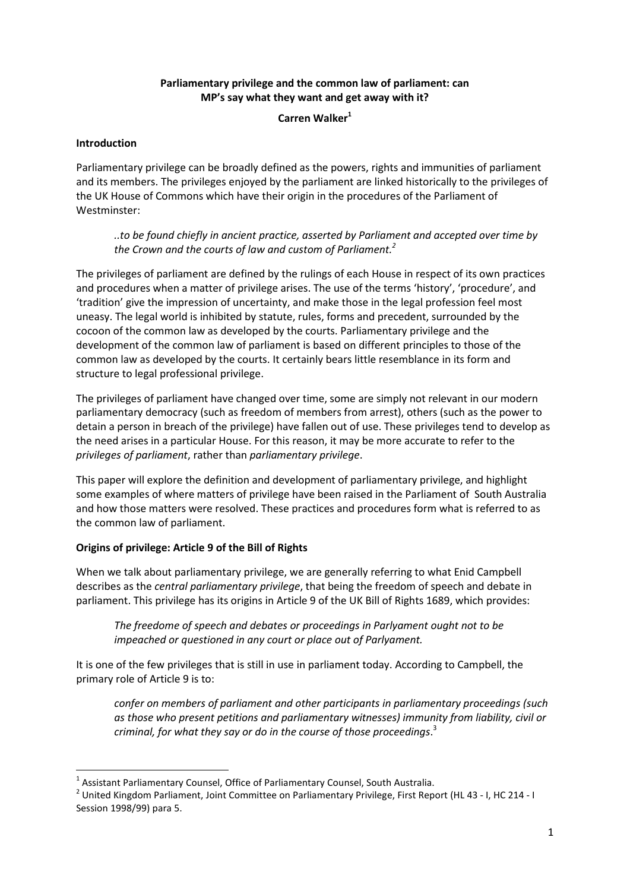# **Parliamentary privilege and the common law of parliament: can MP's say what they want and get away with it?**

Carren Walker<sup>1</sup>

## **Introduction**

Parliamentary privilege can be broadly defined as the powers, rights and immunities of parliament and its members. The privileges enjoyed by the parliament are linked historically to the privileges of the UK House of Commons which have their origin in the procedures of the Parliament of Westminster:

*..to be found chiefly in ancient practice, asserted by Parliament and accepted over time by the Crown and the courts of law and custom of Parliament.2*

The privileges of parliament are defined by the rulings of each House in respect of its own practices and procedures when a matter of privilege arises. The use of the terms 'history', 'procedure', and 'tradition' give the impression of uncertainty, and make those in the legal profession feel most uneasy. The legal world is inhibited by statute, rules, forms and precedent, surrounded by the cocoon of the common law as developed by the courts. Parliamentary privilege and the development of the common law of parliament is based on different principles to those of the common law as developed by the courts. It certainly bears little resemblance in its form and structure to legal professional privilege.

The privileges of parliament have changed over time, some are simply not relevant in our modern parliamentary democracy (such as freedom of members from arrest), others (such as the power to detain a person in breach of the privilege) have fallen out of use. These privileges tend to develop as the need arises in a particular House. For this reason, it may be more accurate to refer to the *privileges of parliament*, rather than *parliamentary privilege*.

This paper will explore the definition and development of parliamentary privilege, and highlight some examples of where matters of privilege have been raised in the Parliament of South Australia and how those matters were resolved. These practices and procedures form what is referred to as the common law of parliament.

## **Origins of privilege: Article 9 of the Bill of Rights**

When we talk about parliamentary privilege, we are generally referring to what Enid Campbell describes as the *central parliamentary privilege*, that being the freedom of speech and debate in parliament. This privilege has its origins in Article 9 of the UK Bill of Rights 1689, which provides:

*The freedome of speech and debates or proceedings in Parlyament ought not to be impeached or questioned in any court or place out of Parlyament.*

It is one of the few privileges that is still in use in parliament today. According to Campbell, the primary role of Article 9 is to:

*confer on members of parliament and other participants in parliamentary proceedings (such as those who present petitions and parliamentary witnesses) immunity from liability, civil or criminal, for what they say or do in the course of those proceedings*. 3

 <sup>1</sup> Assistant Parliamentary Counsel, Office of Parliamentary Counsel, South Australia.

<sup>2</sup> United Kingdom Parliament, Joint Committee on Parliamentary Privilege, First Report (HL 43 - I, HC 214 - I Session 1998/99) para 5.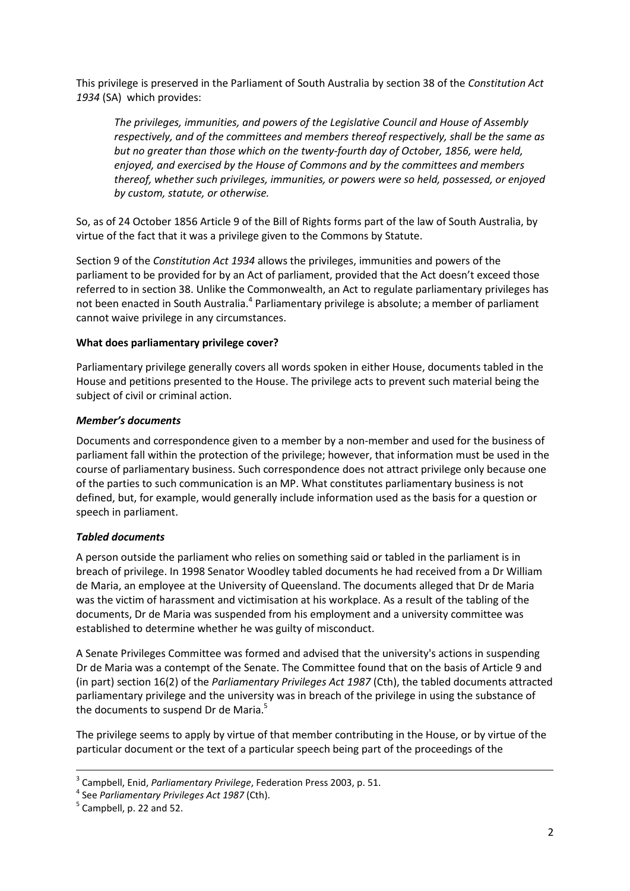This privilege is preserved in the Parliament of South Australia by section 38 of the *Constitution Act 1934* (SA) which provides:

*The privileges, immunities, and powers of the Legislative Council and House of Assembly respectively, and of the committees and members thereof respectively, shall be the same as but no greater than those which on the twenty-fourth day of October, 1856, were held, enjoyed, and exercised by the House of Commons and by the committees and members thereof, whether such privileges, immunities, or powers were so held, possessed, or enjoyed by custom, statute, or otherwise.*

So, as of 24 October 1856 Article 9 of the Bill of Rights forms part of the law of South Australia, by virtue of the fact that it was a privilege given to the Commons by Statute.

Section 9 of the *Constitution Act 1934* allows the privileges, immunities and powers of the parliament to be provided for by an Act of parliament, provided that the Act doesn't exceed those referred to in section 38. Unlike the Commonwealth, an Act to regulate parliamentary privileges has not been enacted in South Australia.<sup>4</sup> Parliamentary privilege is absolute; a member of parliament cannot waive privilege in any circumstances.

## **What does parliamentary privilege cover?**

Parliamentary privilege generally covers all words spoken in either House, documents tabled in the House and petitions presented to the House. The privilege acts to prevent such material being the subject of civil or criminal action.

## *Member's documents*

Documents and correspondence given to a member by a non-member and used for the business of parliament fall within the protection of the privilege; however, that information must be used in the course of parliamentary business. Such correspondence does not attract privilege only because one of the parties to such communication is an MP. What constitutes parliamentary business is not defined, but, for example, would generally include information used as the basis for a question or speech in parliament.

## *Tabled documents*

A person outside the parliament who relies on something said or tabled in the parliament is in breach of privilege. In 1998 Senator Woodley tabled documents he had received from a Dr William de Maria, an employee at the University of Queensland. The documents alleged that Dr de Maria was the victim of harassment and victimisation at his workplace. As a result of the tabling of the documents, Dr de Maria was suspended from his employment and a university committee was established to determine whether he was guilty of misconduct.

A Senate Privileges Committee was formed and advised that the university's actions in suspending Dr de Maria was a contempt of the Senate. The Committee found that on the basis of Article 9 and (in part) section 16(2) of the *Parliamentary Privileges Act 1987* (Cth), the tabled documents attracted parliamentary privilege and the university was in breach of the privilege in using the substance of the documents to suspend Dr de Maria.<sup>5</sup>

The privilege seems to apply by virtue of that member contributing in the House, or by virtue of the particular document or the text of a particular speech being part of the proceedings of the

<sup>&</sup>lt;sup>3</sup> Campbell, Enid, *Parliamentary Privilege*, Federation Press 2003, p. 51.<br><sup>4</sup> See *Parliamentary Privileges Act 1987* (Cth).<br><sup>5</sup> Campbell. p. 22 and 52.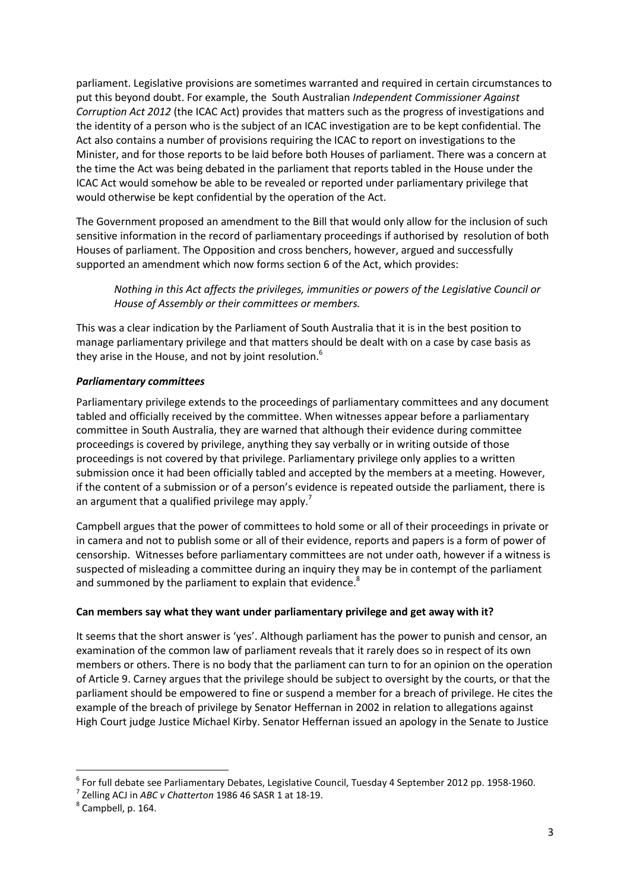parliament. Legislative provisions are sometimes warranted and required in certain circumstances to put this beyond doubt. For example, the South Australian *Independent Commissioner Against Corruption Act 2012* (the ICAC Act) provides that matters such as the progress of investigations and the identity of a person who is the subject of an ICAC investigation are to be kept confidential. The Act also contains a number of provisions requiring the ICAC to report on investigations to the Minister, and for those reports to be laid before both Houses of parliament. There was a concern at the time the Act was being debated in the parliament that reports tabled in the House under the ICAC Act would somehow be able to be revealed or reported under parliamentary privilege that would otherwise be kept confidential by the operation of the Act.

The Government proposed an amendment to the Bill that would only allow for the inclusion of such sensitive information in the record of parliamentary proceedings if authorised by resolution of both Houses of parliament. The Opposition and cross benchers, however, argued and successfully supported an amendment which now forms section 6 of the Act, which provides:

*Nothing in this Act affects the privileges, immunities or powers of the Legislative Council or House of Assembly or their committees or members.*

This was a clear indication by the Parliament of South Australia that it is in the best position to manage parliamentary privilege and that matters should be dealt with on a case by case basis as they arise in the House, and not by joint resolution.<sup>6</sup>

## *Parliamentary committees*

Parliamentary privilege extends to the proceedings of parliamentary committees and any document tabled and officially received by the committee. When witnesses appear before a parliamentary committee in South Australia, they are warned that although their evidence during committee proceedings is covered by privilege, anything they say verbally or in writing outside of those proceedings is not covered by that privilege. Parliamentary privilege only applies to a written submission once it had been officially tabled and accepted by the members at a meeting. However, if the content of a submission or of a person's evidence is repeated outside the parliament, there is an argument that a qualified privilege may apply.<sup>7</sup>

Campbell argues that the power of committees to hold some or all of their proceedings in private or in camera and not to publish some or all of their evidence, reports and papers is a form of power of censorship. Witnesses before parliamentary committees are not under oath, however if a witness is suspected of misleading a committee during an inquiry they may be in contempt of the parliament and summoned by the parliament to explain that evidence.<sup>8</sup>

#### **Can members say what they want under parliamentary privilege and get away with it?**

It seems that the short answer is 'yes'. Although parliament has the power to punish and censor, an examination of the common law of parliament reveals that it rarely does so in respect of its own members or others. There is no body that the parliament can turn to for an opinion on the operation of Article 9. Carney argues that the privilege should be subject to oversight by the courts, or that the parliament should be empowered to fine or suspend a member for a breach of privilege. He cites the example of the breach of privilege by Senator Heffernan in 2002 in relation to allegations against High Court judge Justice Michael Kirby. Senator Heffernan issued an apology in the Senate to Justice

<sup>&</sup>lt;sup>6</sup> For full debate see Parliamentary Debates, Legislative Council, Tuesday 4 September 2012 pp. 1958-1960.<br><sup>7</sup> Zelling ACJ in *ABC v Chatterton* 1986 46 SASR 1 at 18-19.<br><sup>8</sup> Campbell. p. 164.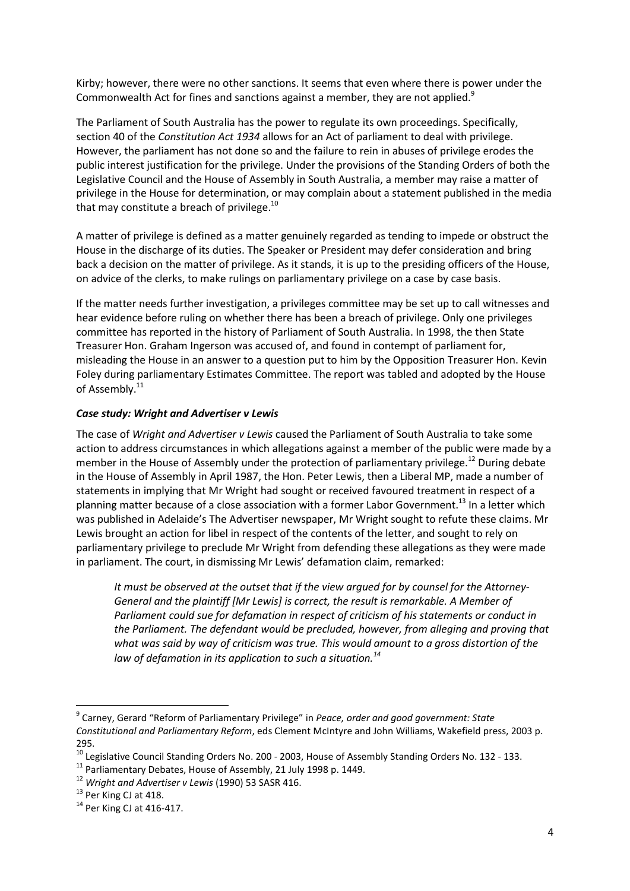Kirby; however, there were no other sanctions. It seems that even where there is power under the Commonwealth Act for fines and sanctions against a member, they are not applied.<sup>9</sup>

The Parliament of South Australia has the power to regulate its own proceedings. Specifically, section 40 of the *Constitution Act 1934* allows for an Act of parliament to deal with privilege. However, the parliament has not done so and the failure to rein in abuses of privilege erodes the public interest justification for the privilege. Under the provisions of the Standing Orders of both the Legislative Council and the House of Assembly in South Australia, a member may raise a matter of privilege in the House for determination, or may complain about a statement published in the media that may constitute a breach of privilege.<sup>10</sup>

A matter of privilege is defined as a matter genuinely regarded as tending to impede or obstruct the House in the discharge of its duties. The Speaker or President may defer consideration and bring back a decision on the matter of privilege. As it stands, it is up to the presiding officers of the House, on advice of the clerks, to make rulings on parliamentary privilege on a case by case basis.

If the matter needs further investigation, a privileges committee may be set up to call witnesses and hear evidence before ruling on whether there has been a breach of privilege. Only one privileges committee has reported in the history of Parliament of South Australia. In 1998, the then State Treasurer Hon. Graham Ingerson was accused of, and found in contempt of parliament for, misleading the House in an answer to a question put to him by the Opposition Treasurer Hon. Kevin Foley during parliamentary Estimates Committee. The report was tabled and adopted by the House of Assembly.<sup>11</sup>

## *Case study: Wright and Advertiser v Lewis*

The case of *Wright and Advertiser v Lewis* caused the Parliament of South Australia to take some action to address circumstances in which allegations against a member of the public were made by a member in the House of Assembly under the protection of parliamentary privilege.<sup>12</sup> During debate in the House of Assembly in April 1987, the Hon. Peter Lewis, then a Liberal MP, made a number of statements in implying that Mr Wright had sought or received favoured treatment in respect of a planning matter because of a close association with a former Labor Government.<sup>13</sup> In a letter which was published in Adelaide's The Advertiser newspaper, Mr Wright sought to refute these claims. Mr Lewis brought an action for libel in respect of the contents of the letter, and sought to rely on parliamentary privilege to preclude Mr Wright from defending these allegations as they were made in parliament. The court, in dismissing Mr Lewis' defamation claim, remarked:

*It must be observed at the outset that if the view argued for by counsel for the Attorney-General and the plaintiff [Mr Lewis] is correct, the result is remarkable. A Member of Parliament could sue for defamation in respect of criticism of his statements or conduct in the Parliament. The defendant would be precluded, however, from alleging and proving that what was said by way of criticism was true. This would amount to a gross distortion of the law of defamation in its application to such a situation.<sup>14</sup>*

 <sup>9</sup> Carney, Gerard "Reform of Parliamentary Privilege" in *Peace, order and good government: State Constitutional and Parliamentary Reform*, eds Clement McIntyre and John Williams, Wakefield press, 2003 p. 295.

<sup>&</sup>lt;sup>10</sup> Legislative Council Standing Orders No. 200 - 2003, House of Assembly Standing Orders No. 132 - 133.<br><sup>11</sup> Parliamentary Debates, House of Assembly, 21 July 1998 p. 1449.<br><sup>12</sup> Wright and Advertiser v Lewis (1990) 53 S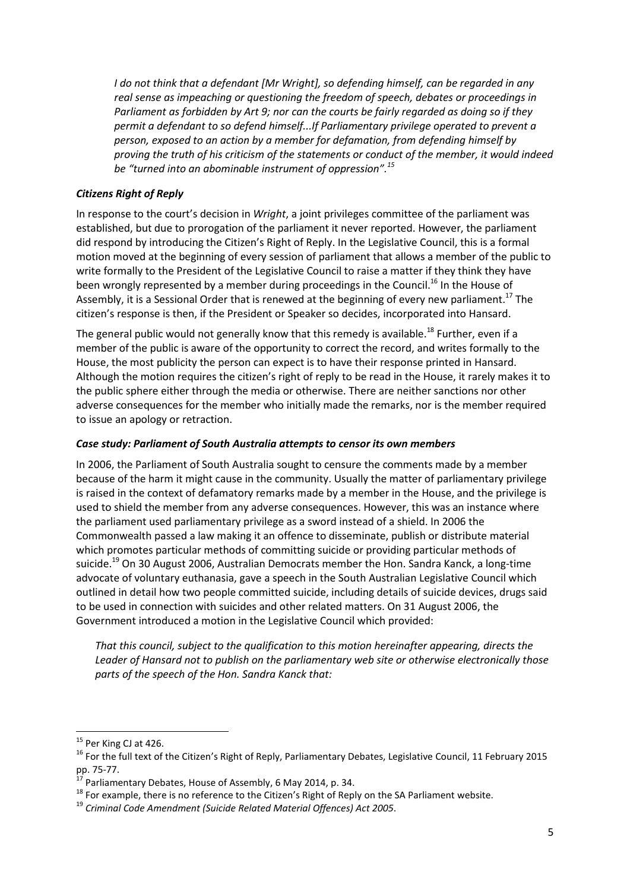*I do not think that a defendant [Mr Wright], so defending himself, can be regarded in any real sense as impeaching or questioning the freedom of speech, debates or proceedings in Parliament as forbidden by Art 9; nor can the courts be fairly regarded as doing so if they permit a defendant to so defend himself...If Parliamentary privilege operated to prevent a person, exposed to an action by a member for defamation, from defending himself by proving the truth of his criticism of the statements or conduct of the member, it would indeed be "turned into an abominable instrument of oppression".<sup>15</sup>*

## *Citizens Right of Reply*

In response to the court's decision in *Wright*, a joint privileges committee of the parliament was established, but due to prorogation of the parliament it never reported. However, the parliament did respond by introducing the Citizen's Right of Reply. In the Legislative Council, this is a formal motion moved at the beginning of every session of parliament that allows a member of the public to write formally to the President of the Legislative Council to raise a matter if they think they have been wrongly represented by a member during proceedings in the Council.<sup>16</sup> In the House of Assembly, it is a Sessional Order that is renewed at the beginning of every new parliament.<sup>17</sup> The citizen's response is then, if the President or Speaker so decides, incorporated into Hansard.

The general public would not generally know that this remedy is available.<sup>18</sup> Further, even if a member of the public is aware of the opportunity to correct the record, and writes formally to the House, the most publicity the person can expect is to have their response printed in Hansard. Although the motion requires the citizen's right of reply to be read in the House, it rarely makes it to the public sphere either through the media or otherwise. There are neither sanctions nor other adverse consequences for the member who initially made the remarks, nor is the member required to issue an apology or retraction.

### *Case study: Parliament of South Australia attempts to censor its own members*

In 2006, the Parliament of South Australia sought to censure the comments made by a member because of the harm it might cause in the community. Usually the matter of parliamentary privilege is raised in the context of defamatory remarks made by a member in the House, and the privilege is used to shield the member from any adverse consequences. However, this was an instance where the parliament used parliamentary privilege as a sword instead of a shield. In 2006 the Commonwealth passed a law making it an offence to disseminate, publish or distribute material which promotes particular methods of committing suicide or providing particular methods of suicide.<sup>19</sup> On 30 August 2006, Australian Democrats member the Hon. Sandra Kanck, a long-time advocate of voluntary euthanasia, gave a speech in the South Australian Legislative Council which outlined in detail how two people committed suicide, including details of suicide devices, drugs said to be used in connection with suicides and other related matters. On 31 August 2006, the Government introduced a motion in the Legislative Council which provided:

*That this council, subject to the qualification to this motion hereinafter appearing, directs the Leader of Hansard not to publish on the parliamentary web site or otherwise electronically those parts of the speech of the Hon. Sandra Kanck that:*

<sup>&</sup>lt;sup>15</sup> Per King CJ at 426.<br><sup>16</sup> For the full text of the Citizen's Right of Reply, Parliamentary Debates, Legislative Council, 11 February 2015<br>pp. 75-77.

<sup>&</sup>lt;sup>17</sup> Parliamentary Debates, House of Assembly, 6 May 2014, p. 34.<br><sup>18</sup> For example, there is no reference to the Citizen's Right of Reply on the SA Parliament website.<br><sup>19</sup> Criminal Code Amendment (Suicide Related Materia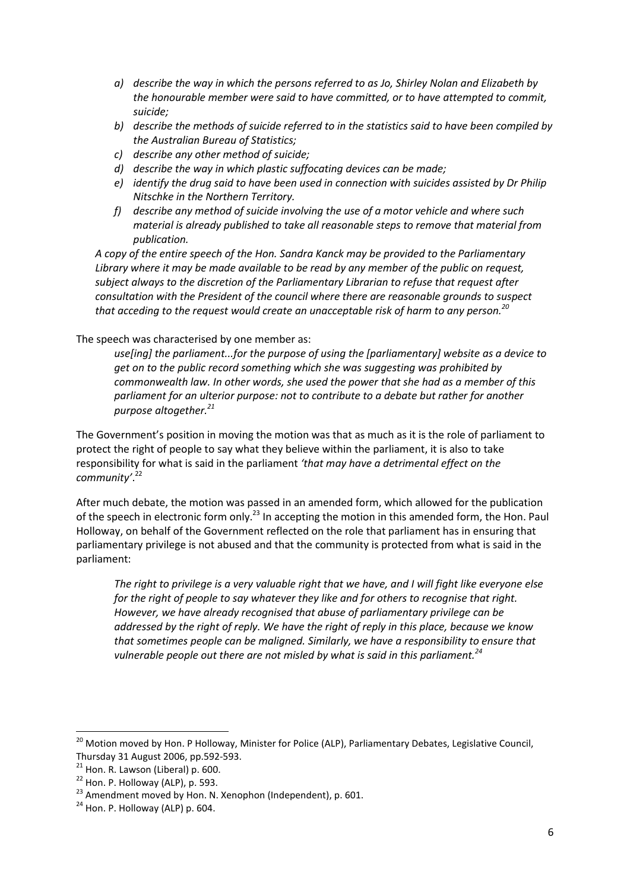- *a) describe the way in which the persons referred to as Jo, Shirley Nolan and Elizabeth by the honourable member were said to have committed, or to have attempted to commit, suicide;*
- *b) describe the methods of suicide referred to in the statistics said to have been compiled by the Australian Bureau of Statistics;*
- *c) describe any other method of suicide;*
- *d) describe the way in which plastic suffocating devices can be made;*
- *e) identify the drug said to have been used in connection with suicides assisted by Dr Philip Nitschke in the Northern Territory.*
- *f) describe any method of suicide involving the use of a motor vehicle and where such material is already published to take all reasonable steps to remove that material from publication.*

*A copy of the entire speech of the Hon. Sandra Kanck may be provided to the Parliamentary Library where it may be made available to be read by any member of the public on request, subject always to the discretion of the Parliamentary Librarian to refuse that request after consultation with the President of the council where there are reasonable grounds to suspect that acceding to the request would create an unacceptable risk of harm to any person.<sup>20</sup>*

# The speech was characterised by one member as:

*use[ing] the parliament...for the purpose of using the [parliamentary] website as a device to get on to the public record something which she was suggesting was prohibited by commonwealth law. In other words, she used the power that she had as a member of this parliament for an ulterior purpose: not to contribute to a debate but rather for another purpose altogether.21*

The Government's position in moving the motion was that as much as it is the role of parliament to protect the right of people to say what they believe within the parliament, it is also to take responsibility for what is said in the parliament *'that may have a detrimental effect on the community'*. 22

After much debate, the motion was passed in an amended form, which allowed for the publication of the speech in electronic form only.<sup>23</sup> In accepting the motion in this amended form, the Hon. Paul Holloway, on behalf of the Government reflected on the role that parliament has in ensuring that parliamentary privilege is not abused and that the community is protected from what is said in the parliament:

*The right to privilege is a very valuable right that we have, and I will fight like everyone else for the right of people to say whatever they like and for others to recognise that right. However, we have already recognised that abuse of parliamentary privilege can be addressed by the right of reply. We have the right of reply in this place, because we know that sometimes people can be maligned. Similarly, we have a responsibility to ensure that vulnerable people out there are not misled by what is said in this parliament.*<sup>24</sup>

 $^{20}$  Motion moved by Hon. P Holloway, Minister for Police (ALP), Parliamentary Debates, Legislative Council,

Thursday 31 August 2006, pp.592-593.<br><sup>21</sup> Hon. R. Lawson (Liberal) p. 600.<br><sup>22</sup> Hon. P. Holloway (ALP), p. 593.<br><sup>23</sup> Amendment moved by Hon. N. Xenophon (Independent), p. 601.<br><sup>24</sup> Hon. P. Holloway (ALP) p. 604.